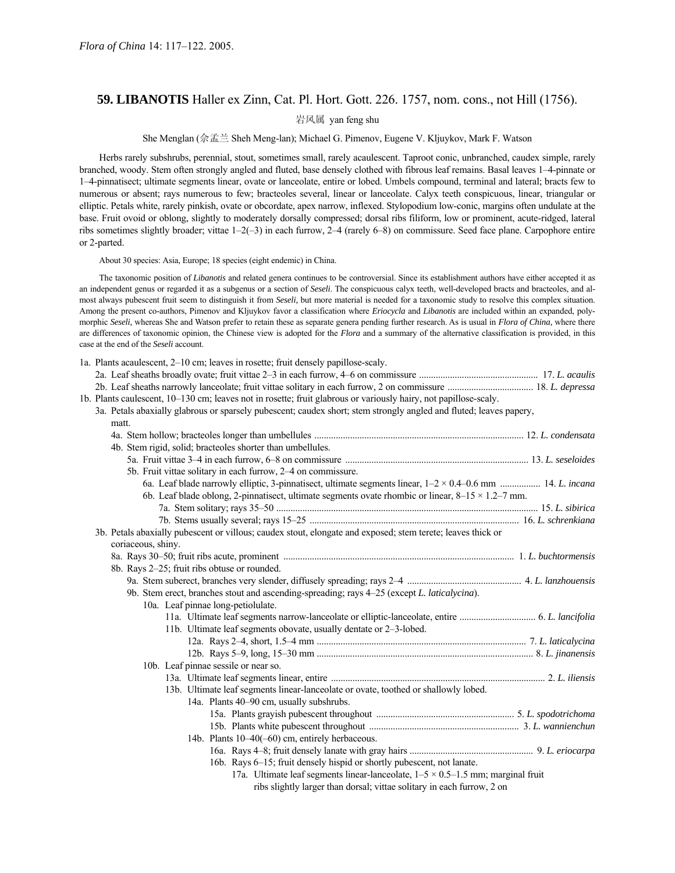# **59. LIBANOTIS** Haller ex Zinn, Cat. Pl. Hort. Gott. 226. 1757, nom. cons., not Hill (1756).

岩风属 yan feng shu

She Menglan (佘孟兰 Sheh Meng-lan); Michael G. Pimenov, Eugene V. Kljuykov, Mark F. Watson

Herbs rarely subshrubs, perennial, stout, sometimes small, rarely acaulescent. Taproot conic, unbranched, caudex simple, rarely branched, woody. Stem often strongly angled and fluted, base densely clothed with fibrous leaf remains. Basal leaves 1-4-pinnate or 1-4-pinnatisect; ultimate segments linear, ovate or lanceolate, entire or lobed. Umbels compound, terminal and lateral; bracts few to numerous or absent; rays numerous to few; bracteoles several, linear or lanceolate. Calyx teeth conspicuous, linear, triangular or elliptic. Petals white, rarely pinkish, ovate or obcordate, apex narrow, inflexed. Stylopodium low-conic, margins often undulate at the base. Fruit ovoid or oblong, slightly to moderately dorsally compressed; dorsal ribs filiform, low or prominent, acute-ridged, lateral ribs sometimes slightly broader; vittae  $1-2(-3)$  in each furrow,  $2-4$  (rarely 6-8) on commissure. Seed face plane. Carpophore entire or 2-parted.

About 30 species: Asia, Europe; 18 species (eight endemic) in China.

The taxonomic position of *Libanotis* and related genera continues to be controversial. Since its establishment authors have either accepted it as an independent genus or regarded it as a subgenus or a section of *Seseli*. The conspicuous calyx teeth, well-developed bracts and bracteoles, and almost always pubescent fruit seem to distinguish it from *Seseli,* but more material is needed for a taxonomic study to resolve this complex situation. Among the present co-authors, Pimenov and Kljuykov favor a classification where *Eriocycla* and *Libanotis* are included within an expanded, polymorphic *Seseli,* whereas She and Watson prefer to retain these as separate genera pending further research. As is usual in *Flora of China,* where there are differences of taxonomic opinion, the Chinese view is adopted for the *Flora* and a summary of the alternative classification is provided, in this case at the end of the *Seseli* account.

|  | 1a. Plants acaulescent, 2–10 cm; leaves in rosette; fruit densely papillose-scaly.                                 |  |
|--|--------------------------------------------------------------------------------------------------------------------|--|
|  |                                                                                                                    |  |
|  |                                                                                                                    |  |
|  | 1b. Plants caulescent, 10–130 cm; leaves not in rosette; fruit glabrous or variously hairy, not papillose-scaly.   |  |
|  | 3a. Petals abaxially glabrous or sparsely pubescent; caudex short; stem strongly angled and fluted; leaves papery, |  |
|  | matt.                                                                                                              |  |
|  |                                                                                                                    |  |
|  | 4b. Stem rigid, solid; bracteoles shorter than umbellules.                                                         |  |
|  |                                                                                                                    |  |
|  | 5b. Fruit vittae solitary in each furrow, 2–4 on commissure.                                                       |  |
|  | 6a. Leaf blade narrowly elliptic, 3-pinnatisect, ultimate segments linear, $1-2 \times 0.4-0.6$ mm  14. L. incana  |  |
|  | 6b. Leaf blade oblong, 2-pinnatisect, ultimate segments ovate rhombic or linear, $8-15 \times 1.2-7$ mm.           |  |
|  |                                                                                                                    |  |
|  |                                                                                                                    |  |
|  | 3b. Petals abaxially pubescent or villous; caudex stout, elongate and exposed; stem terete; leaves thick or        |  |
|  | coriaceous, shiny.                                                                                                 |  |
|  |                                                                                                                    |  |
|  | 8b. Rays 2-25; fruit ribs obtuse or rounded.                                                                       |  |
|  |                                                                                                                    |  |
|  | 9b. Stem erect, branches stout and ascending-spreading; rays 4-25 (except L. laticalycina).                        |  |
|  | 10a. Leaf pinnae long-petiolulate.                                                                                 |  |
|  |                                                                                                                    |  |
|  | 11b. Ultimate leaf segments obovate, usually dentate or 2–3-lobed.                                                 |  |
|  |                                                                                                                    |  |
|  |                                                                                                                    |  |
|  | 10b. Leaf pinnae sessile or near so.                                                                               |  |
|  |                                                                                                                    |  |
|  | 13b. Ultimate leaf segments linear-lanceolate or ovate, toothed or shallowly lobed.                                |  |
|  | 14a. Plants 40–90 cm, usually subshrubs.                                                                           |  |
|  |                                                                                                                    |  |
|  |                                                                                                                    |  |
|  | 14b. Plants 10-40(-60) cm, entirely herbaceous.                                                                    |  |
|  |                                                                                                                    |  |
|  | 16b. Rays 6–15; fruit densely hispid or shortly pubescent, not lanate.                                             |  |
|  | 17a. Ultimate leaf segments linear-lanceolate, $1-5 \times 0.5-1.5$ mm; marginal fruit                             |  |
|  | ribs slightly larger than dorsal; vittae solitary in each furrow, 2 on                                             |  |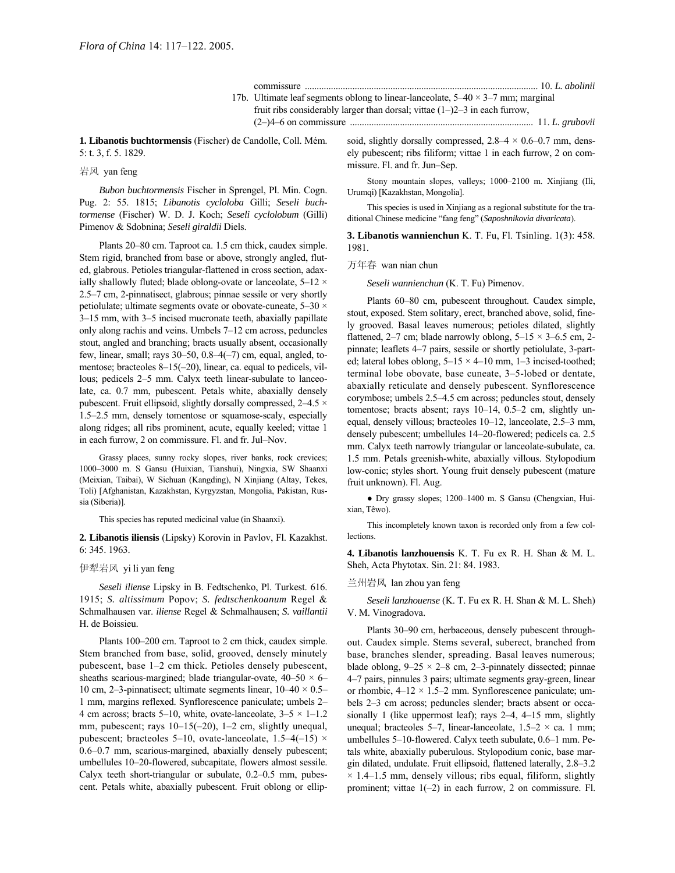```
commissure .................................................................................................. 10. L. abolinii
```
17b. Ultimate leaf segments oblong to linear-lanceolate,  $5-40 \times 3-7$  mm; marginal fruit ribs considerably larger than dorsal; vittae  $(1–)2–3$  in each furrow, (2ñ)4ñ6 on commissure ............................................................................. 11. *L. grubovii*

**1. Libanotis buchtormensis** (Fischer) de Candolle, Coll. MÈm. 5: t. 3, f. 5. 1829.

#### 岩风 yan feng

*Bubon buchtormensis* Fischer in Sprengel, Pl. Min. Cogn. Pug. 2: 55. 1815; *Libanotis cycloloba* Gilli; *Seseli buchtormense* (Fischer) W. D. J. Koch; *Seseli cyclolobum* (Gilli) Pimenov & Sdobnina; *Seseli giraldii* Diels.

Plants 20–80 cm. Taproot ca. 1.5 cm thick, caudex simple. Stem rigid, branched from base or above, strongly angled, fluted, glabrous. Petioles triangular-flattened in cross section, adaxially shallowly fluted; blade oblong-ovate or lanceolate,  $5-12 \times$  $2.5-7$  cm, 2-pinnatisect, glabrous; pinnae sessile or very shortly petiolulate; ultimate segments ovate or obovate-cuneate,  $5-30 \times$ 3–15 mm, with 3–5 incised mucronate teeth, abaxially papillate only along rachis and veins. Umbels  $7-12$  cm across, peduncles stout, angled and branching; bracts usually absent, occasionally few, linear, small; rays  $30-50$ ,  $0.8-4(-7)$  cm, equal, angled, tomentose; bracteoles  $8-15(-20)$ , linear, ca. equal to pedicels, villous; pedicels 2–5 mm. Calyx teeth linear-subulate to lanceolate, ca. 0.7 mm, pubescent. Petals white, abaxially densely pubescent. Fruit ellipsoid, slightly dorsally compressed,  $2-4.5 \times$ 1.5–2.5 mm, densely tomentose or squamose-scaly, especially along ridges; all ribs prominent, acute, equally keeled; vittae 1 in each furrow, 2 on commissure. Fl. and fr. Jul–Nov.

Grassy places, sunny rocky slopes, river banks, rock crevices; 1000-3000 m. S Gansu (Huixian, Tianshui), Ningxia, SW Shaanxi (Meixian, Taibai), W Sichuan (Kangding), N Xinjiang (Altay, Tekes, Toli) [Afghanistan, Kazakhstan, Kyrgyzstan, Mongolia, Pakistan, Russia (Siberia)].

This species has reputed medicinal value (in Shaanxi).

**2. Libanotis iliensis** (Lipsky) Korovin in Pavlov, Fl. Kazakhst. 6: 345. 1963.

# 伊犁岩风 yi li yan feng

*Seseli iliense* Lipsky in B. Fedtschenko, Pl. Turkest. 616. 1915; *S. altissimum* Popov; *S. fedtschenkoanum* Regel & Schmalhausen var. *iliense* Regel & Schmalhausen; *S. vaillantii* H. de Boissieu.

Plants 100–200 cm. Taproot to 2 cm thick, caudex simple. Stem branched from base, solid, grooved, densely minutely pubescent, base 1–2 cm thick. Petioles densely pubescent, sheaths scarious-margined; blade triangular-ovate,  $40-50 \times 6$ 10 cm, 2–3-pinnatisect; ultimate segments linear,  $10-40 \times 0.5$ – 1 mm, margins reflexed. Synflorescence paniculate; umbels 2-4 cm across; bracts 5–10, white, ovate-lanceolate,  $3-5 \times 1-1.2$ mm, pubescent; rays  $10-15(-20)$ , 1-2 cm, slightly unequal, pubescent; bracteoles 5–10, ovate-lanceolate,  $1.5-4(-15) \times$  $0.6-0.7$  mm, scarious-margined, abaxially densely pubescent; umbellules 10-20-flowered, subcapitate, flowers almost sessile. Calyx teeth short-triangular or subulate,  $0.2-0.5$  mm, pubescent. Petals white, abaxially pubescent. Fruit oblong or ellipsoid, slightly dorsally compressed,  $2.8-4 \times 0.6-0.7$  mm, densely pubescent; ribs filiform; vittae 1 in each furrow, 2 on commissure. Fl. and fr. Jun-Sep.

Stony mountain slopes, valleys; 1000-2100 m. Xinjiang (Ili, Urumqi) [Kazakhstan, Mongolia].

This species is used in Xinjiang as a regional substitute for the traditional Chinese medicine "fang feng" (*Saposhnikovia divaricata*).

**3. Libanotis wannienchun** K. T. Fu, Fl. Tsinling. 1(3): 458. 1981.

万年春 wan nian chun

*Seseli wannienchun* (K. T. Fu) Pimenov.

Plants 60–80 cm, pubescent throughout. Caudex simple, stout, exposed. Stem solitary, erect, branched above, solid, finely grooved. Basal leaves numerous; petioles dilated, slightly flattened, 2–7 cm; blade narrowly oblong,  $5-15 \times 3-6.5$  cm, 2pinnate; leaflets 4–7 pairs, sessile or shortly petiolulate, 3-parted; lateral lobes oblong,  $5-15 \times 4-10$  mm, 1-3 incised-toothed; terminal lobe obovate, base cuneate,  $3-5$ -lobed or dentate, abaxially reticulate and densely pubescent. Synflorescence corymbose; umbels 2.5–4.5 cm across; peduncles stout, densely tomentose; bracts absent; rays  $10-14$ ,  $0.5-2$  cm, slightly unequal, densely villous; bracteoles 10–12, lanceolate, 2.5–3 mm, densely pubescent; umbellules 14–20-flowered; pedicels ca. 2.5 mm. Calyx teeth narrowly triangular or lanceolate-subulate, ca. 1.5 mm. Petals greenish-white, abaxially villous. Stylopodium low-conic; styles short. Young fruit densely pubescent (mature fruit unknown). Fl. Aug.

· Dry grassy slopes; 1200-1400 m. S Gansu (Chengxian, Huixian, Têwo).

This incompletely known taxon is recorded only from a few collections.

**4. Libanotis lanzhouensis** K. T. Fu ex R. H. Shan & M. L. Sheh, Acta Phytotax. Sin. 21: 84. 1983.

# 兰州岩风 lan zhou yan feng

*Seseli lanzhouense* (K. T. Fu ex R. H. Shan & M. L. Sheh) V. M. Vinogradova.

Plants 30–90 cm, herbaceous, densely pubescent throughout. Caudex simple. Stems several, suberect, branched from base, branches slender, spreading. Basal leaves numerous; blade oblong,  $9-25 \times 2-8$  cm, 2-3-pinnately dissected; pinnae 4–7 pairs, pinnules 3 pairs; ultimate segments gray-green, linear or rhombic,  $4-12 \times 1.5-2$  mm. Synflorescence paniculate; umbels 2–3 cm across; peduncles slender; bracts absent or occasionally 1 (like uppermost leaf); rays  $2-4$ ,  $4-15$  mm, slightly unequal; bracteoles 5–7, linear-lanceolate,  $1.5-2 \times$  ca. 1 mm; umbellules 5-10-flowered. Calyx teeth subulate, 0.6-1 mm. Petals white, abaxially puberulous. Stylopodium conic, base margin dilated, undulate. Fruit ellipsoid, flattened laterally, 2.8-3.2  $\times$  1.4–1.5 mm, densely villous; ribs equal, filiform, slightly prominent; vittae  $1(-2)$  in each furrow, 2 on commissure. Fl.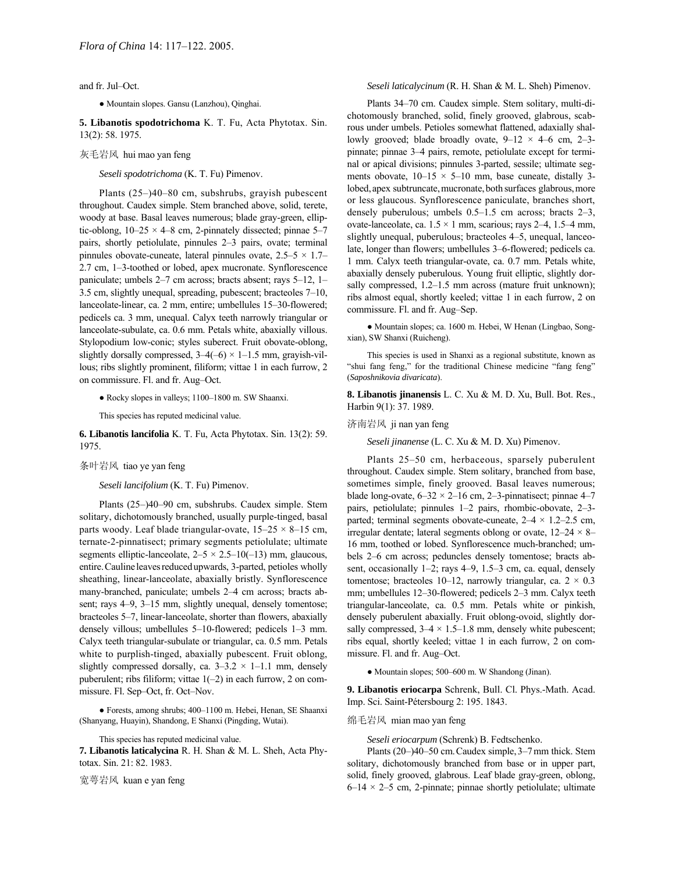and fr. Jul-Oct.

● Mountain slopes. Gansu (Lanzhou), Qinghai.

**5. Libanotis spodotrichoma** K. T. Fu, Acta Phytotax. Sin. 13(2): 58. 1975.

## 灰毛岩风 hui mao yan feng

*Seseli spodotrichoma* (K. T. Fu) Pimenov.

Plants  $(25–)40–80$  cm, subshrubs, grayish pubescent throughout. Caudex simple. Stem branched above, solid, terete, woody at base. Basal leaves numerous; blade gray-green, elliptic-oblong,  $10-25 \times 4-8$  cm, 2-pinnately dissected; pinnae 5–7 pairs, shortly petiolulate, pinnules 2-3 pairs, ovate; terminal pinnules obovate-cuneate, lateral pinnules ovate,  $2.5-5 \times 1.7$ 2.7 cm, 1-3-toothed or lobed, apex mucronate. Synflorescence paniculate; umbels  $2-7$  cm across; bracts absent; rays  $5-12$ ,  $1 3.5$  cm, slightly unequal, spreading, pubescent; bracteoles  $7-10$ , lanceolate-linear, ca. 2 mm, entire; umbellules 15–30-flowered; pedicels ca. 3 mm, unequal. Calyx teeth narrowly triangular or lanceolate-subulate, ca. 0.6 mm. Petals white, abaxially villous. Stylopodium low-conic; styles suberect. Fruit obovate-oblong, slightly dorsally compressed,  $3-4(-6) \times 1-1.5$  mm, grayish-villous; ribs slightly prominent, filiform; vittae 1 in each furrow, 2 on commissure. Fl. and fr. Aug-Oct.

• Rocky slopes in valleys; 1100–1800 m. SW Shaanxi.

This species has reputed medicinal value.

**6. Libanotis lancifolia** K. T. Fu, Acta Phytotax. Sin. 13(2): 59. 1975.

# 条叶岩风 tiao ye yan feng

*Seseli lancifolium* (K. T. Fu) Pimenov.

Plants (25-)40-90 cm, subshrubs. Caudex simple. Stem solitary, dichotomously branched, usually purple-tinged, basal parts woody. Leaf blade triangular-ovate,  $15-25 \times 8-15$  cm, ternate-2-pinnatisect; primary segments petiolulate; ultimate segments elliptic-lanceolate,  $2-5 \times 2.5-10(-13)$  mm, glaucous, entire.Cauline leavesreducedupwards, 3-parted, petioles wholly sheathing, linear-lanceolate, abaxially bristly. Synflorescence many-branched, paniculate; umbels 2-4 cm across; bracts absent; rays  $4-9$ ,  $3-15$  mm, slightly unequal, densely tomentose; bracteoles 5–7, linear-lanceolate, shorter than flowers, abaxially densely villous; umbellules  $5-10$ -flowered; pedicels  $1-3$  mm. Calyx teeth triangular-subulate or triangular, ca. 0.5 mm. Petals white to purplish-tinged, abaxially pubescent. Fruit oblong, slightly compressed dorsally, ca.  $3-3.2 \times 1-1.1$  mm, densely puberulent; ribs filiform; vittae  $1(-2)$  in each furrow, 2 on commissure. Fl. Sep-Oct, fr. Oct-Nov.

● Forests, among shrubs; 400-1100 m. Hebei, Henan, SE Shaanxi (Shanyang, Huayin), Shandong, E Shanxi (Pingding, Wutai).

This species has reputed medicinal value.

**7. Libanotis laticalycina** R. H. Shan & M. L. Sheh, Acta Phytotax. Sin. 21: 82. 1983.

宽萼岩风 kuan e yan feng

# *Seseli laticalycinum* (R. H. Shan & M. L. Sheh) Pimenov.

Plants 34-70 cm. Caudex simple. Stem solitary, multi-dichotomously branched, solid, finely grooved, glabrous, scabrous under umbels. Petioles somewhat flattened, adaxially shallowly grooved; blade broadly ovate,  $9-12 \times 4-6$  cm, 2-3pinnate; pinnae 3–4 pairs, remote, petiolulate except for terminal or apical divisions; pinnules 3-parted, sessile; ultimate segments obovate,  $10-15 \times 5-10$  mm, base cuneate, distally 3lobed, apex subtruncate, mucronate, both surfaces glabrous, more or less glaucous. Synflorescence paniculate, branches short, densely puberulous; umbels  $0.5-1.5$  cm across; bracts  $2-3$ , ovate-lanceolate, ca.  $1.5 \times 1$  mm, scarious; rays 2–4, 1.5–4 mm, slightly unequal, puberulous; bracteoles 4–5, unequal, lanceolate, longer than flowers; umbellules 3-6-flowered; pedicels ca. 1 mm. Calyx teeth triangular-ovate, ca. 0.7 mm. Petals white, abaxially densely puberulous. Young fruit elliptic, slightly dorsally compressed,  $1.2-1.5$  mm across (mature fruit unknown); ribs almost equal, shortly keeled; vittae 1 in each furrow, 2 on commissure. Fl. and fr. Aug-Sep.

● Mountain slopes; ca. 1600 m. Hebei, W Henan (Lingbao, Songxian), SW Shanxi (Ruicheng).

This species is used in Shanxi as a regional substitute, known as "shui fang feng," for the traditional Chinese medicine "fang feng" (*Saposhnikovia divaricata*).

**8. Libanotis jinanensis** L. C. Xu & M. D. Xu, Bull. Bot. Res., Harbin 9(1): 37. 1989.

#### 济南岩风 ji nan yan feng

*Seseli jinanense* (L. C. Xu & M. D. Xu) Pimenov.

Plants 25–50 cm, herbaceous, sparsely puberulent throughout. Caudex simple. Stem solitary, branched from base, sometimes simple, finely grooved. Basal leaves numerous; blade long-ovate,  $6-32 \times 2-16$  cm, 2-3-pinnatisect; pinnae 4-7 pairs, petiolulate; pinnules  $1-2$  pairs, rhombic-obovate,  $2-3-3$ parted; terminal segments obovate-cuneate,  $2-4 \times 1.2-2.5$  cm, irregular dentate; lateral segments oblong or ovate,  $12-24 \times 8$ 16 mm, toothed or lobed. Synflorescence much-branched; umbels 2–6 cm across; peduncles densely tomentose; bracts absent, occasionally 1–2; rays 4–9, 1.5–3 cm, ca. equal, densely tomentose; bracteoles 10–12, narrowly triangular, ca.  $2 \times 0.3$ mm; umbellules 12-30-flowered; pedicels 2-3 mm. Calyx teeth triangular-lanceolate, ca. 0.5 mm. Petals white or pinkish, densely puberulent abaxially. Fruit oblong-ovoid, slightly dorsally compressed,  $3-4 \times 1.5-1.8$  mm, densely white pubescent; ribs equal, shortly keeled; vittae 1 in each furrow, 2 on commissure. Fl. and fr. Aug-Oct.

• Mountain slopes; 500–600 m. W Shandong (Jinan).

**9. Libanotis eriocarpa** Schrenk, Bull. Cl. Phys.-Math. Acad. Imp. Sci. Saint-Pétersbourg 2: 195. 1843.

#### 绵毛岩风 mian mao yan feng

*Seseli eriocarpum* (Schrenk) B. Fedtschenko.

Plants (20 $-$ )40 $-50$  cm. Caudex simple, 3 $-7$  mm thick. Stem solitary, dichotomously branched from base or in upper part, solid, finely grooved, glabrous. Leaf blade gray-green, oblong,  $6-14 \times 2-5$  cm, 2-pinnate; pinnae shortly petiolulate; ultimate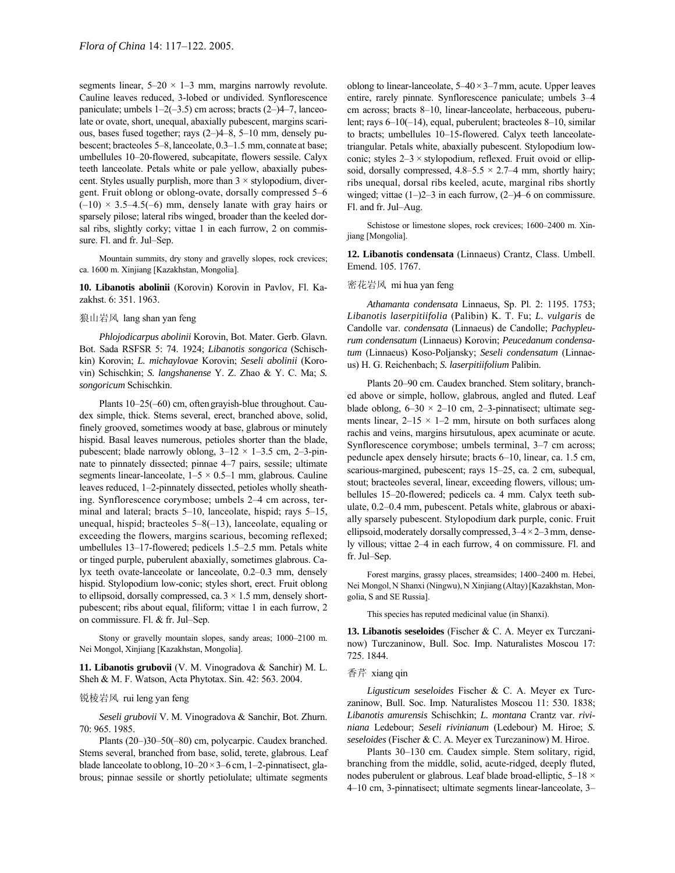segments linear,  $5-20 \times 1-3$  mm, margins narrowly revolute. Cauline leaves reduced, 3-lobed or undivided. Synflorescence paniculate; umbels  $1-2(-3.5)$  cm across; bracts  $(2-4-7)$ , lanceolate or ovate, short, unequal, abaxially pubescent, margins scarious, bases fused together; rays  $(2-)4-8$ , 5-10 mm, densely pubescent; bracteoles 5–8, lanceolate, 0.3–1.5 mm, connate at base; umbellules 10-20-flowered, subcapitate, flowers sessile. Calyx teeth lanceolate. Petals white or pale yellow, abaxially pubescent. Styles usually purplish, more than  $3 \times$  stylopodium, divergent. Fruit oblong or oblong-ovate, dorsally compressed 5-6  $(-10)$  × 3.5–4.5(-6) mm, densely lanate with gray hairs or sparsely pilose; lateral ribs winged, broader than the keeled dorsal ribs, slightly corky; vittae 1 in each furrow, 2 on commissure. Fl. and fr. Jul-Sep.

Mountain summits, dry stony and gravelly slopes, rock crevices; ca. 1600 m. Xinjiang [Kazakhstan, Mongolia].

**10. Libanotis abolinii** (Korovin) Korovin in Pavlov, Fl. Kazakhst. 6: 351. 1963.

#### 狼山岩风 lang shan yan feng

*Phlojodicarpus abolinii* Korovin, Bot. Mater. Gerb. Glavn. Bot. Sada RSFSR 5: 74. 1924; *Libanotis songorica* (Schischkin) Korovin; *L. michaylovae* Korovin; *Seseli abolinii* (Korovin) Schischkin; *S. langshanense* Y. Z. Zhao & Y. C. Ma; *S. songoricum* Schischkin.

Plants  $10-25(-60)$  cm, often grayish-blue throughout. Caudex simple, thick. Stems several, erect, branched above, solid, finely grooved, sometimes woody at base, glabrous or minutely hispid. Basal leaves numerous, petioles shorter than the blade, pubescent; blade narrowly oblong,  $3-12 \times 1-3.5$  cm, 2-3-pinnate to pinnately dissected; pinnae 4-7 pairs, sessile; ultimate segments linear-lanceolate,  $1-5 \times 0.5-1$  mm, glabrous. Cauline leaves reduced, 1–2-pinnately dissected, petioles wholly sheathing. Synflorescence corymbose; umbels 2-4 cm across, terminal and lateral; bracts  $5-10$ , lanceolate, hispid; rays  $5-15$ , unequal, hispid; bracteoles  $5-8(-13)$ , lanceolate, equaling or exceeding the flowers, margins scarious, becoming reflexed; umbellules 13-17-flowered; pedicels 1.5-2.5 mm. Petals white or tinged purple, puberulent abaxially, sometimes glabrous. Calyx teeth ovate-lanceolate or lanceolate, 0.2–0.3 mm, densely hispid. Stylopodium low-conic; styles short, erect. Fruit oblong to ellipsoid, dorsally compressed, ca.  $3 \times 1.5$  mm, densely shortpubescent; ribs about equal, filiform; vittae 1 in each furrow, 2 on commissure. Fl. & fr. Jul-Sep.

Stony or gravelly mountain slopes, sandy areas; 1000-2100 m. Nei Mongol, Xinjiang [Kazakhstan, Mongolia].

**11. Libanotis grubovii** (V. M. Vinogradova & Sanchir) M. L. Sheh & M. F. Watson, Acta Phytotax. Sin. 42: 563. 2004.

#### 锐棱岩风 rui leng yan feng

*Seseli grubovii* V. M. Vinogradova & Sanchir, Bot. Zhurn. 70: 965. 1985.

Plants (20–)30–50(–80) cm, polycarpic. Caudex branched. Stems several, branched from base, solid, terete, glabrous. Leaf blade lanceolate to oblong,  $10-20 \times 3-6$  cm, 1-2-pinnatisect, glabrous; pinnae sessile or shortly petiolulate; ultimate segments

oblong to linear-lanceolate,  $5-40 \times 3-7$  mm, acute. Upper leaves entire, rarely pinnate. Synflorescence paniculate; umbels 3-4 cm across; bracts 8-10, linear-lanceolate, herbaceous, puberulent; rays  $6-10(-14)$ , equal, puberulent; bracteoles 8-10, similar to bracts; umbellules 10-15-flowered. Calyx teeth lanceolatetriangular. Petals white, abaxially pubescent. Stylopodium lowconic; styles  $2-3 \times$  stylopodium, reflexed. Fruit ovoid or ellipsoid, dorsally compressed,  $4.8-5.5 \times 2.7-4$  mm, shortly hairy; ribs unequal, dorsal ribs keeled, acute, marginal ribs shortly winged; vittae  $(1–)2–3$  in each furrow,  $(2–)4–6$  on commissure. Fl. and fr. Jul-Aug.

Schistose or limestone slopes, rock crevices; 1600-2400 m. Xinjiang [Mongolia].

**12. Libanotis condensata** (Linnaeus) Crantz, Class. Umbell. Emend. 105. 1767.

#### 密花岩风 mi hua yan feng

*Athamanta condensata* Linnaeus, Sp. Pl. 2: 1195. 1753; *Libanotis laserpitiifolia* (Palibin) K. T. Fu; *L. vulgaris* de Candolle var. *condensata* (Linnaeus) de Candolle; *Pachypleurum condensatum* (Linnaeus) Korovin; *Peucedanum condensatum* (Linnaeus) Koso-Poljansky; *Seseli condensatum* (Linnaeus) H. G. Reichenbach; *S. laserpitiifolium* Palibin.

Plants 20–90 cm. Caudex branched. Stem solitary, branched above or simple, hollow, glabrous, angled and fluted. Leaf blade oblong,  $6-30 \times 2-10$  cm, 2-3-pinnatisect; ultimate segments linear,  $2-15 \times 1-2$  mm, hirsute on both surfaces along rachis and veins, margins hirsutulous, apex acuminate or acute. Synflorescence corymbose; umbels terminal, 3–7 cm across; peduncle apex densely hirsute; bracts 6-10, linear, ca. 1.5 cm, scarious-margined, pubescent; rays 15–25, ca. 2 cm, subequal, stout; bracteoles several, linear, exceeding flowers, villous; umbellules 15–20-flowered; pedicels ca. 4 mm. Calyx teeth subulate,  $0.2-0.4$  mm, pubescent. Petals white, glabrous or abaxially sparsely pubescent. Stylopodium dark purple, conic. Fruit ellipsoid, moderately dorsally compressed,  $3-4 \times 2-3$  mm, densely villous; vittae 2–4 in each furrow, 4 on commissure. Fl. and fr. Jul-Sep.

Forest margins, grassy places, streamsides; 1400-2400 m. Hebei, Nei Mongol,N Shanxi (Ningwu),N Xinjiang (Altay)[Kazakhstan, Mongolia, S and SE Russia].

This species has reputed medicinal value (in Shanxi).

**13. Libanotis seseloides** (Fischer & C. A. Meyer ex Turczaninow) Turczaninow, Bull. Soc. Imp. Naturalistes Moscou 17: 725. 1844.

## 香芹 xiang qin

*Ligusticum seseloides* Fischer & C. A. Meyer ex Turczaninow, Bull. Soc. Imp. Naturalistes Moscou 11: 530. 1838; *Libanotis amurensis* Schischkin; *L. montana* Crantz var. *riviniana* Ledebour; *Seseli rivinianum* (Ledebour) M. Hiroe; *S. seseloides* (Fischer & C. A. Meyer ex Turczaninow) M. Hiroe.

Plants 30-130 cm. Caudex simple. Stem solitary, rigid, branching from the middle, solid, acute-ridged, deeply fluted, nodes puberulent or glabrous. Leaf blade broad-elliptic,  $5-18 \times$ 4–10 cm, 3-pinnatisect; ultimate segments linear-lanceolate, 3–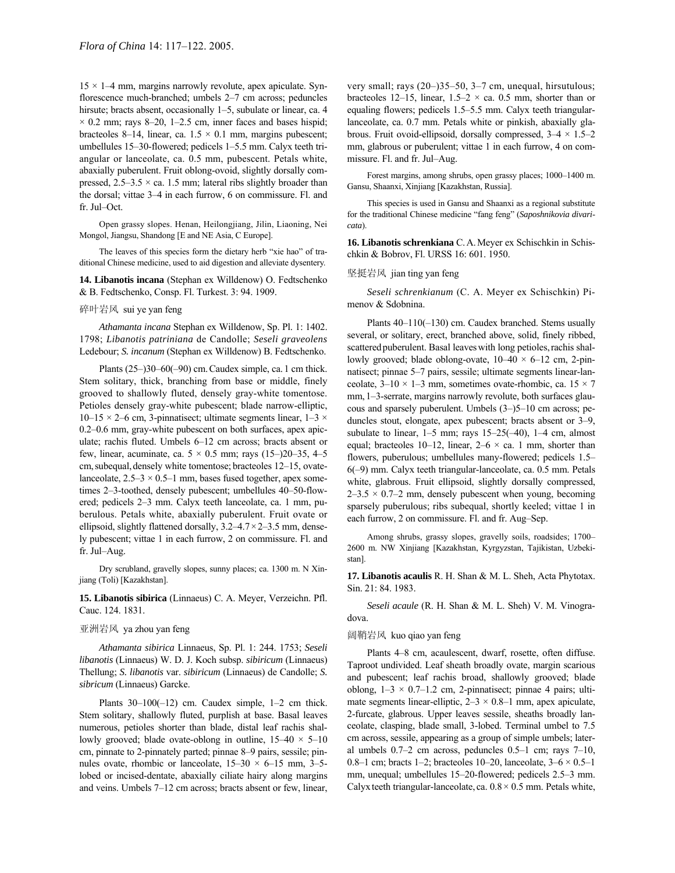$15 \times 1-4$  mm, margins narrowly revolute, apex apiculate. Synflorescence much-branched; umbels  $2-7$  cm across; peduncles hirsute; bracts absent, occasionally  $1-5$ , subulate or linear, ca. 4  $\times$  0.2 mm; rays 8–20, 1–2.5 cm, inner faces and bases hispid; bracteoles 8–14, linear, ca.  $1.5 \times 0.1$  mm, margins pubescent; umbellules 15-30-flowered; pedicels 1-5.5 mm. Calyx teeth triangular or lanceolate, ca. 0.5 mm, pubescent. Petals white, abaxially puberulent. Fruit oblong-ovoid, slightly dorsally compressed,  $2.5-3.5 \times$  ca. 1.5 mm; lateral ribs slightly broader than the dorsal; vittae  $3-4$  in each furrow, 6 on commissure. Fl. and fr. Jul-Oct.

Open grassy slopes. Henan, Heilongjiang, Jilin, Liaoning, Nei Mongol, Jiangsu, Shandong [E and NE Asia, C Europe].

The leaves of this species form the dietary herb "xie hao" of traditional Chinese medicine, used to aid digestion and alleviate dysentery.

**14. Libanotis incana** (Stephan ex Willdenow) O. Fedtschenko & B. Fedtschenko, Consp. Fl. Turkest. 3: 94. 1909.

### 碎叶岩风 sui ye yan feng

*Athamanta incana* Stephan ex Willdenow, Sp. Pl. 1: 1402. 1798; *Libanotis patriniana* de Candolle; *Seseli graveolens* Ledebour; *S. incanum* (Stephan ex Willdenow) B. Fedtschenko.

Plants  $(25–)30–60(–90)$  cm. Caudex simple, ca. 1 cm thick. Stem solitary, thick, branching from base or middle, finely grooved to shallowly fluted, densely gray-white tomentose. Petioles densely gray-white pubescent; blade narrow-elliptic, 10–15  $\times$  2–6 cm, 3-pinnatisect; ultimate segments linear, 1–3  $\times$  $0.2-0.6$  mm, gray-white pubescent on both surfaces, apex apiculate; rachis fluted. Umbels 6-12 cm across; bracts absent or few, linear, acuminate, ca.  $5 \times 0.5$  mm; rays (15–)20–35, 4–5 cm, subequal, densely white tomentose; bracteoles 12–15, ovatelanceolate,  $2.5-3 \times 0.5-1$  mm, bases fused together, apex sometimes 2-3-toothed, densely pubescent; umbellules 40-50-flowered; pedicels 2–3 mm. Calyx teeth lanceolate, ca. 1 mm, puberulous. Petals white, abaxially puberulent. Fruit ovate or ellipsoid, slightly flattened dorsally,  $3.2-4.7\times2-3.5$  mm, densely pubescent; vittae 1 in each furrow, 2 on commissure. Fl. and fr. Jul-Aug.

Dry scrubland, gravelly slopes, sunny places; ca. 1300 m. N Xinjiang (Toli) [Kazakhstan].

**15. Libanotis sibirica** (Linnaeus) C. A. Meyer, Verzeichn. Pfl. Cauc. 124. 1831.

### 亚洲岩风 ya zhou yan feng

*Athamanta sibirica* Linnaeus, Sp. Pl. 1: 244. 1753; *Seseli libanotis* (Linnaeus) W. D. J. Koch subsp. *sibiricum* (Linnaeus) Thellung; *S. libanotis* var. *sibiricum* (Linnaeus) de Candolle; *S. sibricum* (Linnaeus) Garcke.

Plants  $30-100(-12)$  cm. Caudex simple,  $1-2$  cm thick. Stem solitary, shallowly fluted, purplish at base. Basal leaves numerous, petioles shorter than blade, distal leaf rachis shallowly grooved; blade ovate-oblong in outline,  $15-40 \times 5-10$ cm, pinnate to 2-pinnately parted; pinnae 8–9 pairs, sessile; pinnules ovate, rhombic or lanceolate,  $15-30 \times 6-15$  mm, 3-5lobed or incised-dentate, abaxially ciliate hairy along margins and veins. Umbels  $7-12$  cm across; bracts absent or few, linear, very small; rays  $(20-)35-50$ ,  $3-7$  cm, unequal, hirsutulous; bracteoles 12–15, linear, 1.5–2  $\times$  ca. 0.5 mm, shorter than or equaling flowers; pedicels 1.5–5.5 mm. Calyx teeth triangularlanceolate, ca. 0.7 mm. Petals white or pinkish, abaxially glabrous. Fruit ovoid-ellipsoid, dorsally compressed,  $3-4 \times 1.5-2$ mm, glabrous or puberulent; vittae 1 in each furrow, 4 on commissure. Fl. and fr. Jul-Aug.

Forest margins, among shrubs, open grassy places; 1000-1400 m. Gansu, Shaanxi, Xinjiang [Kazakhstan, Russia].

This species is used in Gansu and Shaanxi as a regional substitute for the traditional Chinese medicine "fang feng" (*Saposhnikovia divaricata*).

**16. Libanotis schrenkiana** C.A.Meyer ex Schischkin in Schischkin & Bobrov, Fl. URSS 16: 601. 1950.

# 坚挺岩风 jian ting yan feng

*Seseli schrenkianum* (C. A. Meyer ex Schischkin) Pimenov & Sdobnina.

Plants  $40-110(-130)$  cm. Caudex branched. Stems usually several, or solitary, erect, branched above, solid, finely ribbed, scattered puberulent. Basal leaves with long petioles, rachis shallowly grooved; blade oblong-ovate,  $10-40 \times 6-12$  cm, 2-pinnatisect; pinnae 5–7 pairs, sessile; ultimate segments linear-lanceolate,  $3-10 \times 1-3$  mm, sometimes ovate-rhombic, ca.  $15 \times 7$ mm, 1–3-serrate, margins narrowly revolute, both surfaces glaucous and sparsely puberulent. Umbels  $(3–)5–10$  cm across; peduncles stout, elongate, apex pubescent; bracts absent or  $3-9$ , subulate to linear,  $1-5$  mm; rays  $15-25(-40)$ ,  $1-4$  cm, almost equal; bracteoles 10–12, linear,  $2-6 \times$  ca. 1 mm, shorter than flowers, puberulous; umbellules many-flowered; pedicels  $1.5$ –  $6(-9)$  mm. Calyx teeth triangular-lanceolate, ca. 0.5 mm. Petals white, glabrous. Fruit ellipsoid, slightly dorsally compressed,  $2-3.5 \times 0.7-2$  mm, densely pubescent when young, becoming sparsely puberulous; ribs subequal, shortly keeled; vittae 1 in each furrow, 2 on commissure. Fl. and fr. Aug–Sep.

Among shrubs, grassy slopes, gravelly soils, roadsides; 1700-2600 m. NW Xinjiang [Kazakhstan, Kyrgyzstan, Tajikistan, Uzbekistan].

**17. Libanotis acaulis** R. H. Shan & M. L. Sheh, Acta Phytotax. Sin. 21: 84. 1983.

*Seseli acaule* (R. H. Shan & M. L. Sheh) V. M. Vinogradova.

#### 阔鞘岩风 kuo qiao yan feng

Plants 4-8 cm, acaulescent, dwarf, rosette, often diffuse. Taproot undivided. Leaf sheath broadly ovate, margin scarious and pubescent; leaf rachis broad, shallowly grooved; blade oblong,  $1-3 \times 0.7-1.2$  cm, 2-pinnatisect; pinnae 4 pairs; ultimate segments linear-elliptic,  $2-3 \times 0.8-1$  mm, apex apiculate, 2-furcate, glabrous. Upper leaves sessile, sheaths broadly lanceolate, clasping, blade small, 3-lobed. Terminal umbel to 7.5 cm across, sessile, appearing as a group of simple umbels; lateral umbels  $0.7-2$  cm across, peduncles  $0.5-1$  cm; rays  $7-10$ , 0.8–1 cm; bracts 1–2; bracteoles 10–20, lanceolate,  $3-6 \times 0.5-1$ mm, unequal; umbellules 15–20-flowered; pedicels 2.5–3 mm. Calyx teeth triangular-lanceolate, ca.  $0.8 \times 0.5$  mm. Petals white,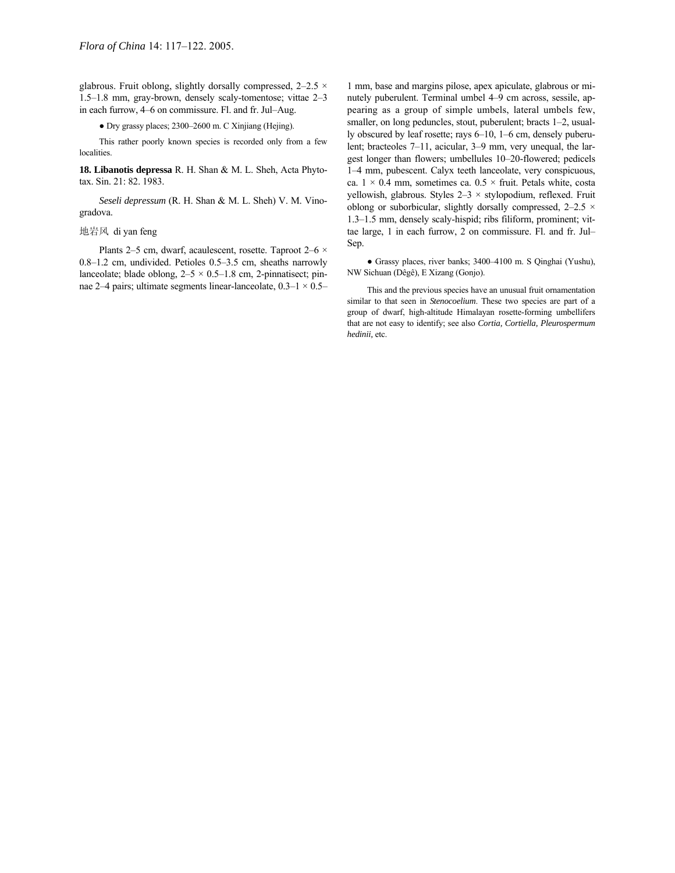glabrous. Fruit oblong, slightly dorsally compressed,  $2-2.5 \times$ 1.5 $-1.8$  mm, gray-brown, densely scaly-tomentose; vittae  $2-3$ in each furrow, 4-6 on commissure. Fl. and fr. Jul-Aug.

• Dry grassy places; 2300–2600 m. C Xinjiang (Hejing).

This rather poorly known species is recorded only from a few localities.

**18. Libanotis depressa** R. H. Shan & M. L. Sheh, Acta Phytotax. Sin. 21: 82. 1983.

*Seseli depressum* (R. H. Shan & M. L. Sheh) V. M. Vinogradova.

# 地岩风 di yan feng

Plants 2–5 cm, dwarf, acaulescent, rosette. Taproot 2–6  $\times$  $0.8-1.2$  cm, undivided. Petioles  $0.5-3.5$  cm, sheaths narrowly lanceolate; blade oblong,  $2-5 \times 0.5-1.8$  cm, 2-pinnatisect; pinnae 2–4 pairs; ultimate segments linear-lanceolate,  $0.3-1 \times 0.5$ 

1 mm, base and margins pilose, apex apiculate, glabrous or minutely puberulent. Terminal umbel 4-9 cm across, sessile, appearing as a group of simple umbels, lateral umbels few, smaller, on long peduncles, stout, puberulent; bracts  $1-2$ , usually obscured by leaf rosette; rays  $6-10$ ,  $1-6$  cm, densely puberulent; bracteoles 7–11, acicular, 3–9 mm, very unequal, the largest longer than flowers; umbellules 10-20-flowered; pedicels 1–4 mm, pubescent. Calyx teeth lanceolate, very conspicuous, ca.  $1 \times 0.4$  mm, sometimes ca.  $0.5 \times$  fruit. Petals white, costa yellowish, glabrous. Styles  $2-3 \times$  stylopodium, reflexed. Fruit oblong or suborbicular, slightly dorsally compressed,  $2-2.5 \times$ 1.3-1.5 mm, densely scaly-hispid; ribs filiform, prominent; vittae large, 1 in each furrow, 2 on commissure. Fl. and fr. Jul-Sep.

• Grassy places, river banks; 3400-4100 m. S Qinghai (Yushu), NW Sichuan (Dêgê), E Xizang (Gonjo).

This and the previous species have an unusual fruit ornamentation similar to that seen in *Stenocoelium*. These two species are part of a group of dwarf, high-altitude Himalayan rosette-forming umbellifers that are not easy to identify; see also *Cortia, Cortiella, Pleurospermum hedinii,* etc.